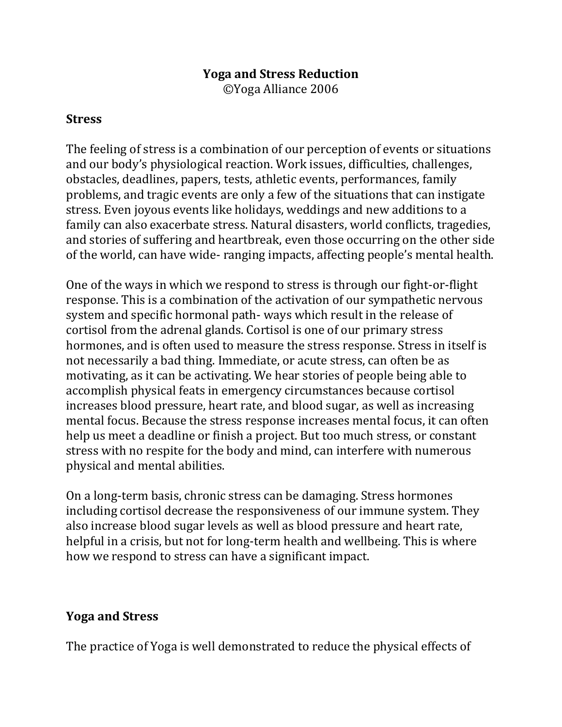### **Yoga and Stress Reduction**

©Yoga Alliance 2006

#### **Stress**

The feeling of stress is a combination of our perception of events or situations and our body's physiological reaction. Work issues, difficulties, challenges, obstacles, deadlines, papers, tests, athletic events, performances, family problems, and tragic events are only a few of the situations that can instigate stress. Even joyous events like holidays, weddings and new additions to a family can also exacerbate stress. Natural disasters, world conflicts, tragedies, and stories of suffering and heartbreak, even those occurring on the other side of the world, can have wide- ranging impacts, affecting people's mental health.

One of the ways in which we respond to stress is through our fight-or-flight response. This is a combination of the activation of our sympathetic nervous system and specific hormonal path- ways which result in the release of cortisol from the adrenal glands. Cortisol is one of our primary stress hormones, and is often used to measure the stress response. Stress in itself is not necessarily a bad thing. Immediate, or acute stress, can often be as motivating, as it can be activating. We hear stories of people being able to accomplish physical feats in emergency circumstances because cortisol increases blood pressure, heart rate, and blood sugar, as well as increasing mental focus. Because the stress response increases mental focus, it can often help us meet a deadline or finish a project. But too much stress, or constant stress with no respite for the body and mind, can interfere with numerous physical and mental abilities.

On a long-term basis, chronic stress can be damaging. Stress hormones including cortisol decrease the responsiveness of our immune system. They also increase blood sugar levels as well as blood pressure and heart rate, helpful in a crisis, but not for long-term health and wellbeing. This is where how we respond to stress can have a significant impact.

## **Yoga and Stress**

The practice of Yoga is well demonstrated to reduce the physical effects of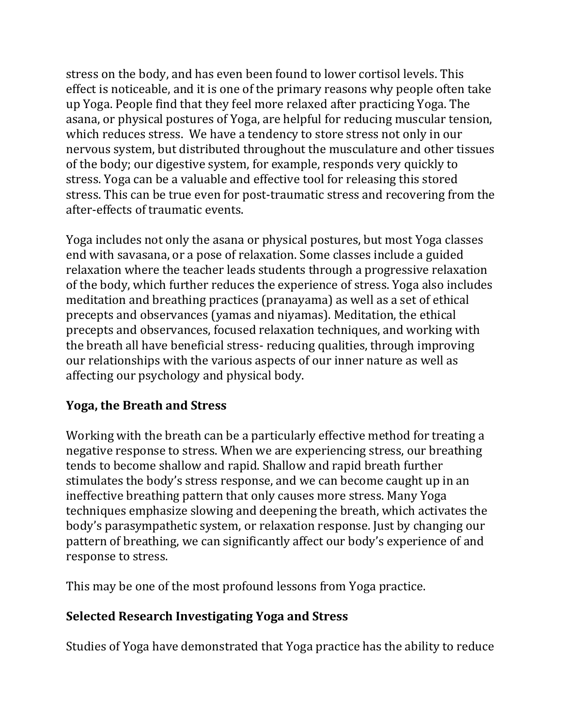stress on the body, and has even been found to lower cortisol levels. This effect is noticeable, and it is one of the primary reasons why people often take up Yoga. People find that they feel more relaxed after practicing Yoga. The asana, or physical postures of Yoga, are helpful for reducing muscular tension, which reduces stress. We have a tendency to store stress not only in our nervous system, but distributed throughout the musculature and other tissues of the body; our digestive system, for example, responds very quickly to stress. Yoga can be a valuable and effective tool for releasing this stored stress. This can be true even for post-traumatic stress and recovering from the after-effects of traumatic events.

Yoga includes not only the asana or physical postures, but most Yoga classes end with savasana, or a pose of relaxation. Some classes include a guided relaxation where the teacher leads students through a progressive relaxation of the body, which further reduces the experience of stress. Yoga also includes meditation and breathing practices (pranayama) as well as a set of ethical precepts and observances (yamas and niyamas). Meditation, the ethical precepts and observances, focused relaxation techniques, and working with the breath all have beneficial stress- reducing qualities, through improving our relationships with the various aspects of our inner nature as well as affecting our psychology and physical body.

# **Yoga, the Breath and Stress**

Working with the breath can be a particularly effective method for treating a negative response to stress. When we are experiencing stress, our breathing tends to become shallow and rapid. Shallow and rapid breath further stimulates the body's stress response, and we can become caught up in an ineffective breathing pattern that only causes more stress. Many Yoga techniques emphasize slowing and deepening the breath, which activates the body's parasympathetic system, or relaxation response. Just by changing our pattern of breathing, we can significantly affect our body's experience of and response to stress.

This may be one of the most profound lessons from Yoga practice.

# **Selected Research Investigating Yoga and Stress**

Studies of Yoga have demonstrated that Yoga practice has the ability to reduce